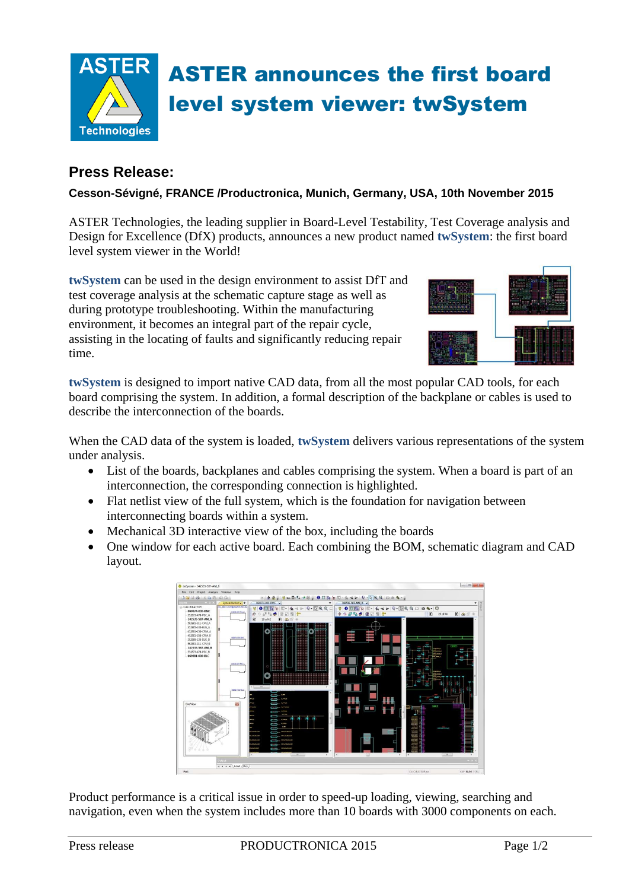

## **Press Release:**

## **Cesson-Sévigné, FRANCE /Productronica, Munich, Germany, USA, 10th November 2015**

ASTER Technologies, the leading supplier in Board-Level Testability, Test Coverage analysis and Design for Excellence (DfX) products, announces a new product named **twSystem**: the first board level system viewer in the World!

**twSystem** can be used in the design environment to assist DfT and test coverage analysis at the schematic capture stage as well as during prototype troubleshooting. Within the manufacturing environment, it becomes an integral part of the repair cycle, assisting in the locating of faults and significantly reducing repair time.



**twSystem** is designed to import native CAD data, from all the most popular CAD tools, for each board comprising the system. In addition, a formal description of the backplane or cables is used to describe the interconnection of the boards.

When the CAD data of the system is loaded, **twSystem** delivers various representations of the system under analysis.

- List of the boards, backplanes and cables comprising the system. When a board is part of an interconnection, the corresponding connection is highlighted.
- Flat netlist view of the full system, which is the foundation for navigation between interconnecting boards within a system.
- Mechanical 3D interactive view of the box, including the boards
- One window for each active board. Each combining the BOM, schematic diagram and CAD layout.



Product performance is a critical issue in order to speed-up loading, viewing, searching and navigation, even when the system includes more than 10 boards with 3000 components on each.